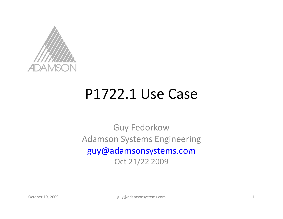

## P1722.1 Use Case

Guy Fedorkow Adamson Systems Engineering guy@adamsonsystems.com Oct 21/22 2009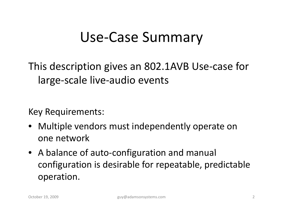## Use‐Case Summary

This description gives an 802.1AVB Use-case for large‐scale live‐audio events

Key Requirements:

- Multiple vendors must independently operate on one network
- A balance of auto-configuration and manual configuration is desirable for repeatable, predictable operation.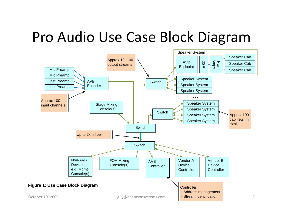## Pro Audio Use Case Block Diagram

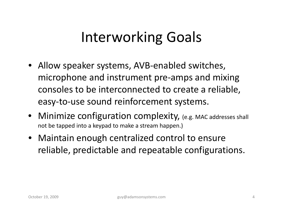## Interworking Goals

- Allow speaker systems, AVB‐enabled switches, microphone and instrument pre‐amps and mixing consoles to be interconnected to create <sup>a</sup> reliable, easy‐to‐use sound reinforcement systems.
- Minimize configuration complexity, (e.g. MAC addresses shall not be tapped into <sup>a</sup> keypad to make <sup>a</sup> stream happen.)
- Maintain enough centralized control to ensure reliable, predictable and repeatable configurations.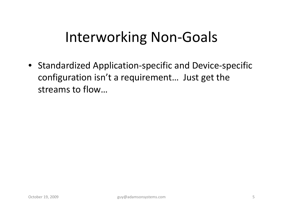## Interworking Non‐Goals

• Standardized Application ‐specific and Device‐specific configuration isn't <sup>a</sup> requirement… Just get the streams to flow…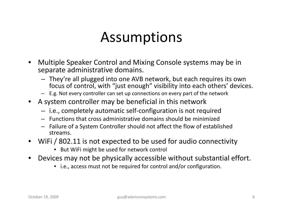## Assumptions

- • Multiple Speaker Control and Mixing Console systems may be in separate administrative domains.
	- They're all plugged into one AVB network, but each requires its own focus of control, with "just enough" visibility into each others' devices.
	- E.g. Not every controller can set up connections on every part of the network
- A system controller may be beneficial in this network
	- i.e., completely automatic self‐configuration is not required
	- Functions that cross administrative domains should be minimized
	- Failure of <sup>a</sup> System Controller should not affect the flow of established streams.
- • WiFi / 802.11 is not expected to be used for audio connectivity
	- But WiFi might be used for network control
- • Devices may not be physically accessible without substantial effort.
	- i.e., access must not be required for control and/or configuration.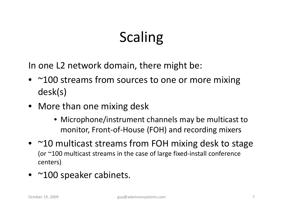# Scaling

In one L2 network domain, there might be:

- ~100 streams from sources to one or more mixing desk(s)
- More than one mixing desk
	- Microphone/instrument channels may be multicast to monitor, Front‐of‐House (FOH) and recording mixers
- ~10 multicast streams from FOH mixing desk to stage (or ~100 multicast streams in the case of large fixed‐install conference centers)
- ~100 speaker cabinets.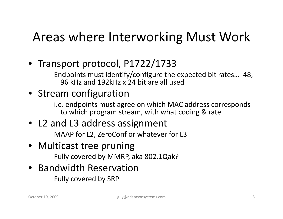## Areas where Interworking Must Work

• Transport protocol, P1722/1733

Endpoints must identify/configure the expected bit rates… 48, 96 kHz and 192kHz <sup>x</sup> 24 bit are all used

### • Stream configuration

i.e. endpoints must agree on which MAC address corresponds to which program stream, with what coding & rate

• L2 and L3 address assignment MAAP for L2, ZeroConf or whatever for L3

### • Multicast tree pruning

Fully covered by MMRP, aka 802.1Qak?

#### • Bandwidth Reservation Fully covered by SRP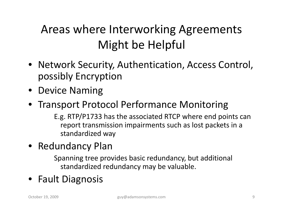## Areas where Interworking Agreements Might be Helpful

- Network Security, Authentication, Access Control, possibly Encryption
- Device Naming
- Transport Protocol Performance Monitoring

E.g. RTP/P1733 has the associated RTCP where end points can report transmission impairments such as lost packets in a standardized way

• Redundancy Plan

Spanning tree provides basic redundancy, but additional standardized redundancy may be valuable.

• Fault Diagnosis